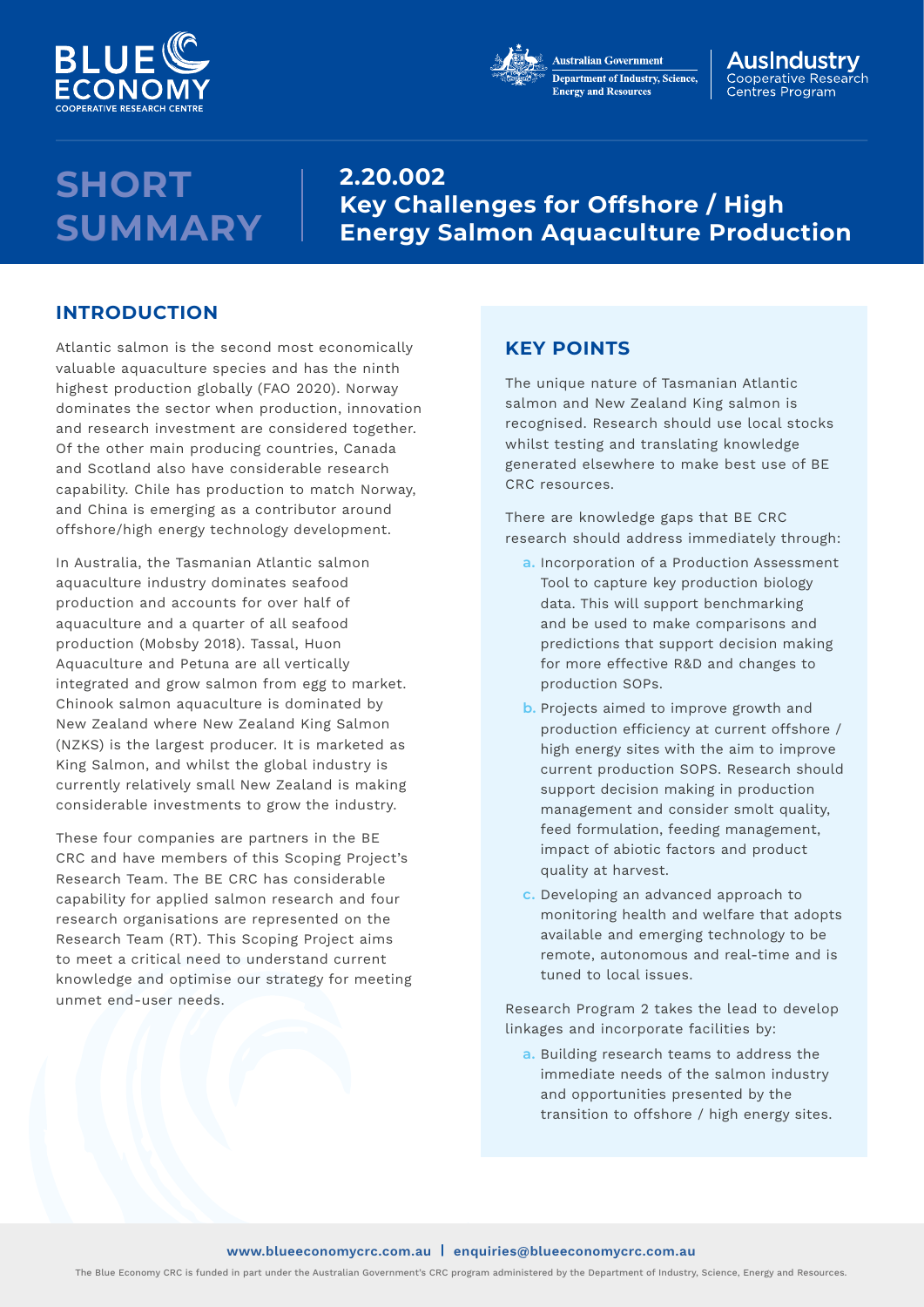



#### AusIndustrv Cooperative Research Centres Program

## **SHORT SUMMARY**

**2.20.002 Key Challenges for Offshore / High Energy Salmon Aquaculture Production**

### **INTRODUCTION**

Atlantic salmon is the second most economically valuable aquaculture species and has the ninth highest production globally (FAO 2020). Norway dominates the sector when production, innovation and research investment are considered together. Of the other main producing countries, Canada and Scotland also have considerable research capability. Chile has production to match Norway, and China is emerging as a contributor around offshore/high energy technology development.

In Australia, the Tasmanian Atlantic salmon aquaculture industry dominates seafood production and accounts for over half of aquaculture and a quarter of all seafood production (Mobsby 2018). Tassal, Huon Aquaculture and Petuna are all vertically integrated and grow salmon from egg to market. Chinook salmon aquaculture is dominated by New Zealand where New Zealand King Salmon (NZKS) is the largest producer. It is marketed as King Salmon, and whilst the global industry is currently relatively small New Zealand is making considerable investments to grow the industry.

These four companies are partners in the BE CRC and have members of this Scoping Project's Research Team. The BE CRC has considerable capability for applied salmon research and four research organisations are represented on the Research Team (RT). This Scoping Project aims to meet a critical need to understand current knowledge and optimise our strategy for meeting unmet end-user needs.

### **KEY POINTS**

The unique nature of Tasmanian Atlantic salmon and New Zealand King salmon is recognised. Research should use local stocks whilst testing and translating knowledge generated elsewhere to make best use of BE CRC resources.

There are knowledge gaps that BE CRC research should address immediately through:

- **a.** Incorporation of a Production Assessment Tool to capture key production biology data. This will support benchmarking and be used to make comparisons and predictions that support decision making for more effective R&D and changes to production SOPs.
- **b.** Projects aimed to improve growth and production efficiency at current offshore / high energy sites with the aim to improve current production SOPS. Research should support decision making in production management and consider smolt quality, feed formulation, feeding management, impact of abiotic factors and product quality at harvest.
- **c.** Developing an advanced approach to monitoring health and welfare that adopts available and emerging technology to be remote, autonomous and real-time and is tuned to local issues.

Research Program 2 takes the lead to develop linkages and incorporate facilities by:

**a.** Building research teams to address the immediate needs of the salmon industry and opportunities presented by the transition to offshore / high energy sites.

### **[www.blueeconomycrc.com.au](https://blueeconomycrc.com.au/) | [enquiries@blueeconomycrc.com.au](mailto:enquiries%40blueeconomycrc.com.au?subject=)**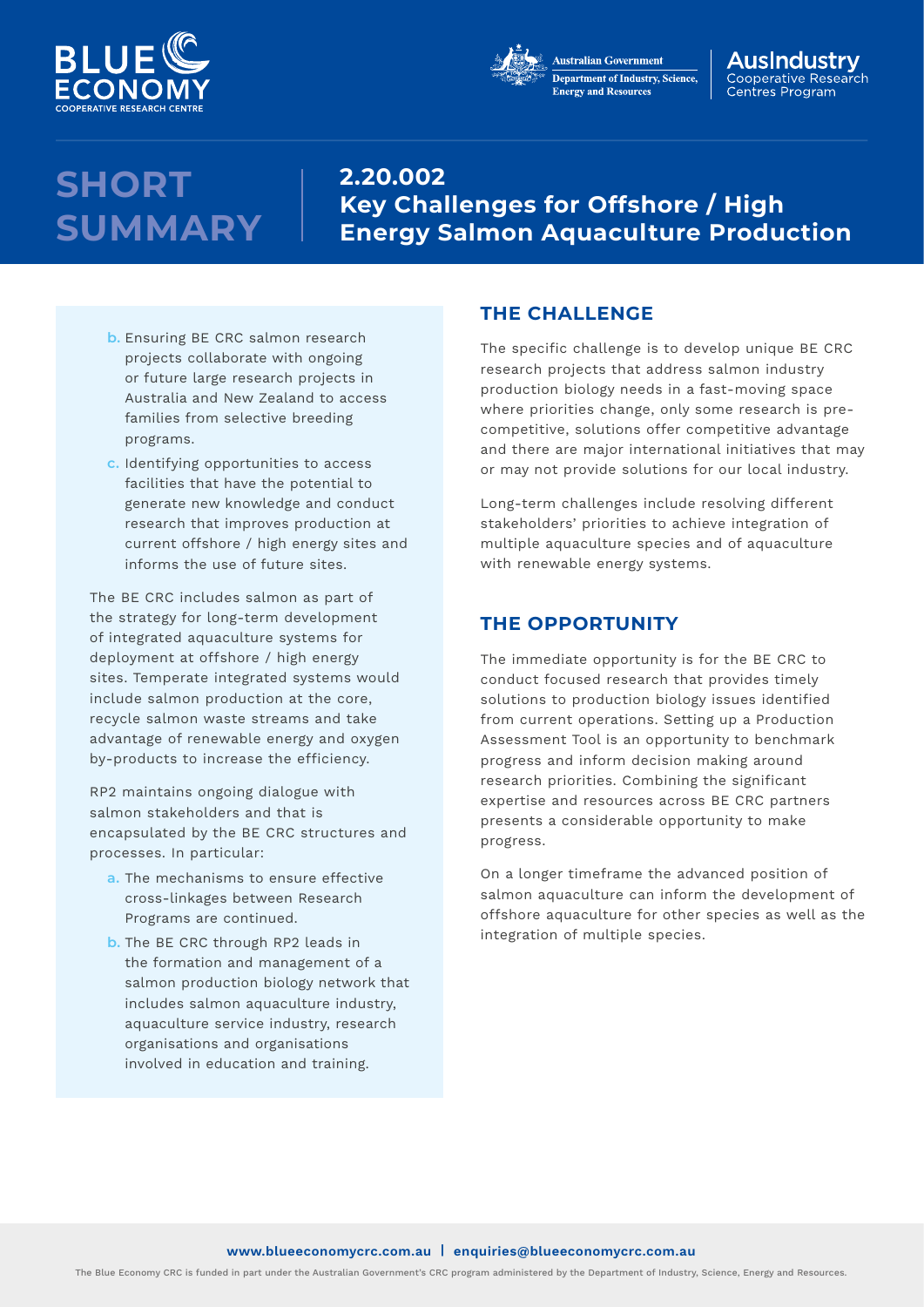



#### AusIndustrv Cooperative Research Centres Program

# **SHORT SUMMARY**

## **2.20.002 Key Challenges for Offshore / High Energy Salmon Aquaculture Production**

- **b.** Ensuring BE CRC salmon research projects collaborate with ongoing or future large research projects in Australia and New Zealand to access families from selective breeding programs.
- **c.** Identifying opportunities to access facilities that have the potential to generate new knowledge and conduct research that improves production at current offshore / high energy sites and informs the use of future sites.

The BE CRC includes salmon as part of the strategy for long-term development of integrated aquaculture systems for deployment at offshore / high energy sites. Temperate integrated systems would include salmon production at the core, recycle salmon waste streams and take advantage of renewable energy and oxygen by-products to increase the efficiency.

RP2 maintains ongoing dialogue with salmon stakeholders and that is encapsulated by the BE CRC structures and processes. In particular:

- **a.** The mechanisms to ensure effective cross-linkages between Research Programs are continued.
- **b.** The BE CRC through RP2 leads in the formation and management of a salmon production biology network that includes salmon aquaculture industry, aquaculture service industry, research organisations and organisations involved in education and training.

## **THE CHALLENGE**

The specific challenge is to develop unique BE CRC research projects that address salmon industry production biology needs in a fast-moving space where priorities change, only some research is precompetitive, solutions offer competitive advantage and there are major international initiatives that may or may not provide solutions for our local industry.

Long-term challenges include resolving different stakeholders' priorities to achieve integration of multiple aquaculture species and of aquaculture with renewable energy systems.

## **THE OPPORTUNITY**

The immediate opportunity is for the BE CRC to conduct focused research that provides timely solutions to production biology issues identified from current operations. Setting up a Production Assessment Tool is an opportunity to benchmark progress and inform decision making around research priorities. Combining the significant expertise and resources across BE CRC partners presents a considerable opportunity to make progress.

On a longer timeframe the advanced position of salmon aquaculture can inform the development of offshore aquaculture for other species as well as the integration of multiple species.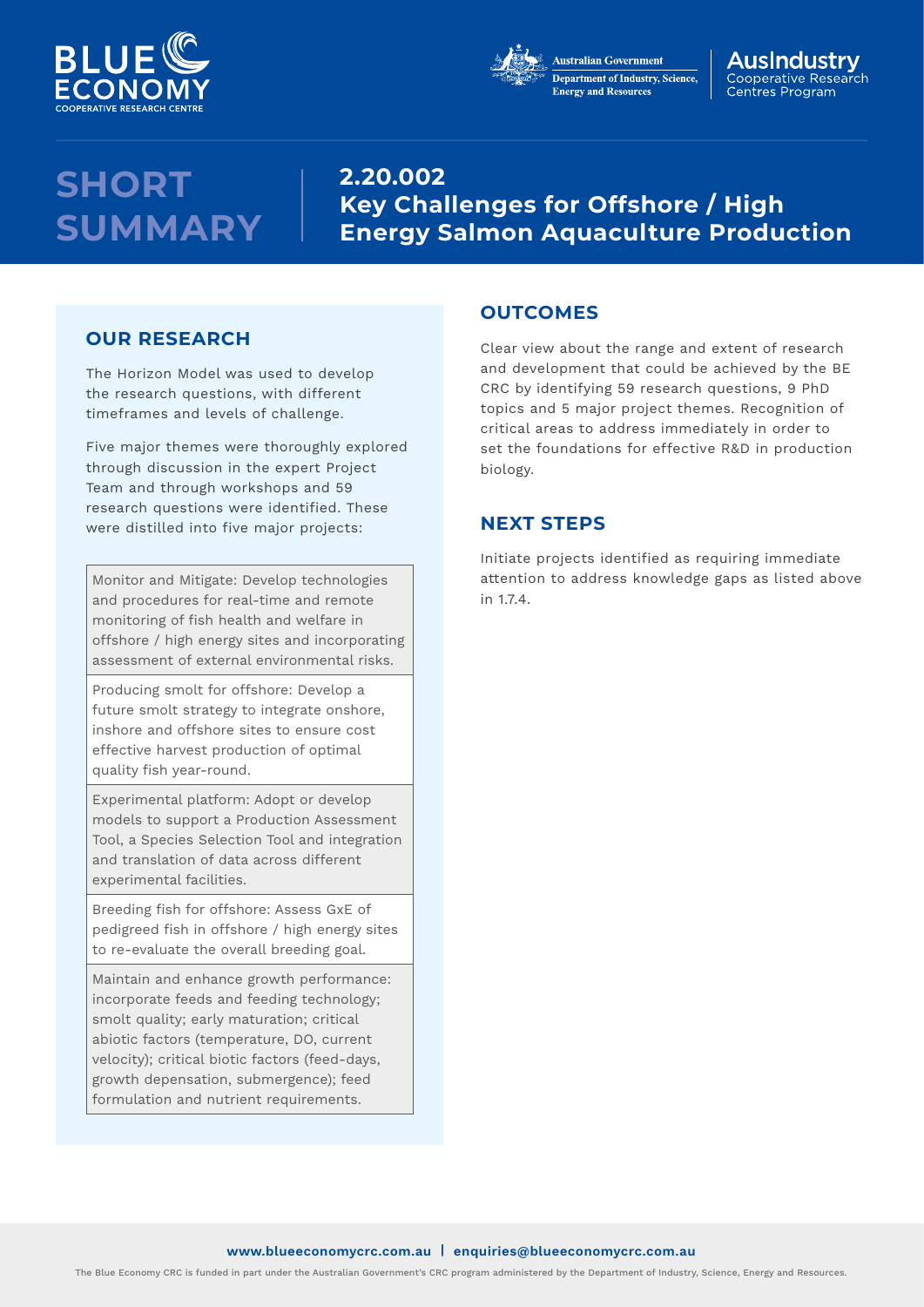



#### AusIndustrv Cooperative Research Centres Program

# **SHORT SUMMARY**

**2.20.002 Key Challenges for Offshore / High Energy Salmon Aquaculture Production**

## **OUR RESEARCH**

The Horizon Model was used to develop the research questions, with different timeframes and levels of challenge.

Five major themes were thoroughly explored through discussion in the expert Project Team and through workshops and 59 research questions were identified. These were distilled into five major projects:

Monitor and Mitigate: Develop technologies and procedures for real-time and remote monitoring of fish health and welfare in offshore / high energy sites and incorporating assessment of external environmental risks.

Producing smolt for offshore: Develop a future smolt strategy to integrate onshore, inshore and offshore sites to ensure cost effective harvest production of optimal quality fish year-round.

Experimental platform: Adopt or develop models to support a Production Assessment Tool, a Species Selection Tool and integration and translation of data across different experimental facilities.

Breeding fish for offshore: Assess GxE of pedigreed fish in offshore / high energy sites to re-evaluate the overall breeding goal.

Maintain and enhance growth performance: incorporate feeds and feeding technology; smolt quality; early maturation; critical abiotic factors (temperature, DO, current velocity); critical biotic factors (feed-days, growth depensation, submergence); feed formulation and nutrient requirements.

### **OUTCOMES**

Clear view about the range and extent of research and development that could be achieved by the BE CRC by identifying 59 research questions, 9 PhD topics and 5 major project themes. Recognition of critical areas to address immediately in order to set the foundations for effective R&D in production biology.

## **NEXT STEPS**

Initiate projects identified as requiring immediate attention to address knowledge gaps as listed above in 1.7.4.